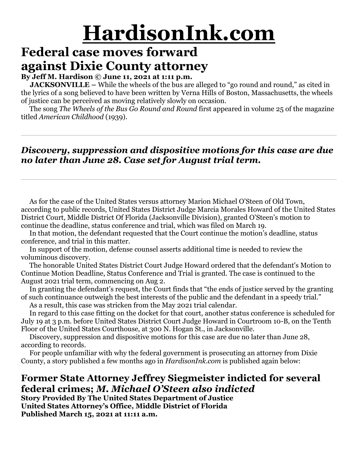# **HardisonInk.com**

### **Federal case moves forward against Dixie County attorney**

#### **By Jeff M. Hardison © June 11, 2021 at 1:11 p.m.**

**JACKSONVILLE** – While the wheels of the bus are alleged to "go round and round," as cited in the lyrics of a song believed to have been written by Verna Hills of Boston, Massachusetts, the wheels of justice can be perceived as moving relatively slowly on occasion.

 The song *The Wheels of the Bus Go Round and Round* first appeared in volume 25 of the magazine titled *American Childhood* (1939).

### *Discovery, suppression and dispositive motions for this case are due no later than June 28. Case set for August trial term.*

 As for the case of the United States versus attorney Marion Michael O'Steen of Old Town, according to public records, United States District Judge Marcia Morales Howard of the United States District Court, Middle District Of Florida (Jacksonville Division), granted O'Steen's motion to continue the deadline, status conference and trial, which was filed on March 19.

 In that motion, the defendant requested that the Court continue the motion's deadline, status conference, and trial in this matter.

 In support of the motion, defense counsel asserts additional time is needed to review the voluminous discovery.

 The honorable United States District Court Judge Howard ordered that the defendant's Motion to Continue Motion Deadline, Status Conference and Trial is granted. The case is continued to the August 2021 trial term, commencing on Aug 2.

 In granting the defendant's request, the Court finds that "the ends of justice served by the granting of such continuance outweigh the best interests of the public and the defendant in a speedy trial." As a result, this case was stricken from the May 2021 trial calendar.

 In regard to this case fitting on the docket for that court, another status conference is scheduled for July 19 at 3 p.m. before United States District Court Judge Howard in Courtroom 10-B, on the Tenth Floor of the United States Courthouse, at 300 N. Hogan St., in Jacksonville.

 Discovery, suppression and dispositive motions for this case are due no later than June 28, according to records.

 For people unfamiliar with why the federal government is prosecuting an attorney from Dixie County, a story published a few months ago in *HardisonInk.com* is published again below:

### **Former State Attorney Jeffrey Siegmeister indicted for several federal crimes;** *M. Michael O'Steen also indicted*

**Story Provided By The United States Department of Justice United States Attorney's Office, Middle District of Florida Published March 15, 2021 at 11:11 a.m.**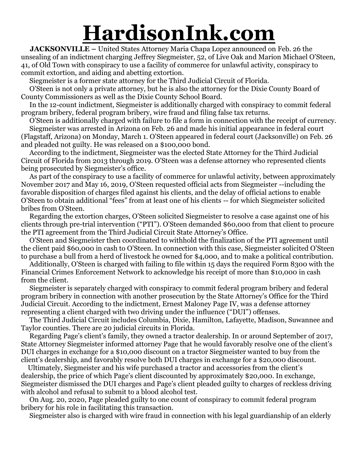## **HardisonInk.com**

 **JACKSONVILLE –** United States Attorney Maria Chapa Lopez announced on Feb. 26 the unsealing of an indictment charging Jeffrey Siegmeister, 52, of Live Oak and Marion Michael O'Steen, 41, of Old Town with conspiracy to use a facility of commerce for unlawful activity, conspiracy to commit extortion, and aiding and abetting extortion.

Siegmeister is a former state attorney for the Third Judicial Circuit of Florida.

 O'Steen is not only a private attorney, but he is also the attorney for the Dixie County Board of County Commissioners as well as the Dixie County School Board.

 In the 12-count indictment, Siegmeister is additionally charged with conspiracy to commit federal program bribery, federal program bribery, wire fraud and filing false tax returns.

 O'Steen is additionally charged with failure to file a form in connection with the receipt of currency. Siegmeister was arrested in Arizona on Feb. 26 and made his initial appearance in federal court (Flagstaff, Arizona) on Monday, March 1. O'Steen appeared in federal court (Jacksonville) on Feb. 26 and pleaded not guilty. He was released on a \$100,000 bond.

 According to the indictment, Siegmeister was the elected State Attorney for the Third Judicial Circuit of Florida from 2013 through 2019. O'Steen was a defense attorney who represented clients being prosecuted by Siegmeister's office.

 As part of the conspiracy to use a facility of commerce for unlawful activity, between approximately November 2017 and May 16, 2019, O'Steen requested official acts from Siegmeister --including the favorable disposition of charges filed against his clients, and the delay of official actions to enable O'Steen to obtain additional "fees" from at least one of his clients -- for which Siegmeister solicited bribes from O'Steen.

 Regarding the extortion charges, O'Steen solicited Siegmeister to resolve a case against one of his clients through pre-trial intervention ("PTI"). O'Steen demanded \$60,000 from that client to procure the PTI agreement from the Third Judicial Circuit State Attorney's Office.

 O'Steen and Siegmeister then coordinated to withhold the finalization of the PTI agreement until the client paid \$60,000 in cash to O'Steen. In connection with this case, Siegmeister solicited O'Steen to purchase a bull from a herd of livestock he owned for \$4,000, and to make a political contribution.

 Additionally, O'Steen is charged with failing to file within 15 days the required Form 8300 with the Financial Crimes Enforcement Network to acknowledge his receipt of more than \$10,000 in cash from the client.

 Siegmeister is separately charged with conspiracy to commit federal program bribery and federal program bribery in connection with another prosecution by the State Attorney's Office for the Third Judicial Circuit. According to the indictment, Ernest Maloney Page IV, was a defense attorney representing a client charged with two driving under the influence ("DUI") offenses.

 The Third Judicial Circuit includes Columbia, Dixie, Hamilton, Lafayette, Madison, Suwannee and Taylor counties. There are 20 judicial circuits in Florida.

 Regarding Page's client's family, they owned a tractor dealership. In or around September of 2017, State Attorney Siegmeister informed attorney Page that he would favorably resolve one of the client's DUI charges in exchange for a \$10,000 discount on a tractor Siegmeister wanted to buy from the client's dealership, and favorably resolve both DUI charges in exchange for a \$20,000 discount.

 Ultimately, Siegmeister and his wife purchased a tractor and accessories from the client's dealership, the price of which Page's client discounted by approximately \$20,000. In exchange, Siegmeister dismissed the DUI charges and Page's client pleaded guilty to charges of reckless driving with alcohol and refusal to submit to a blood alcohol test.

 On Aug. 20, 2020, Page pleaded guilty to one count of conspiracy to commit federal program bribery for his role in facilitating this transaction.

Siegmeister also is charged with wire fraud in connection with his legal guardianship of an elderly